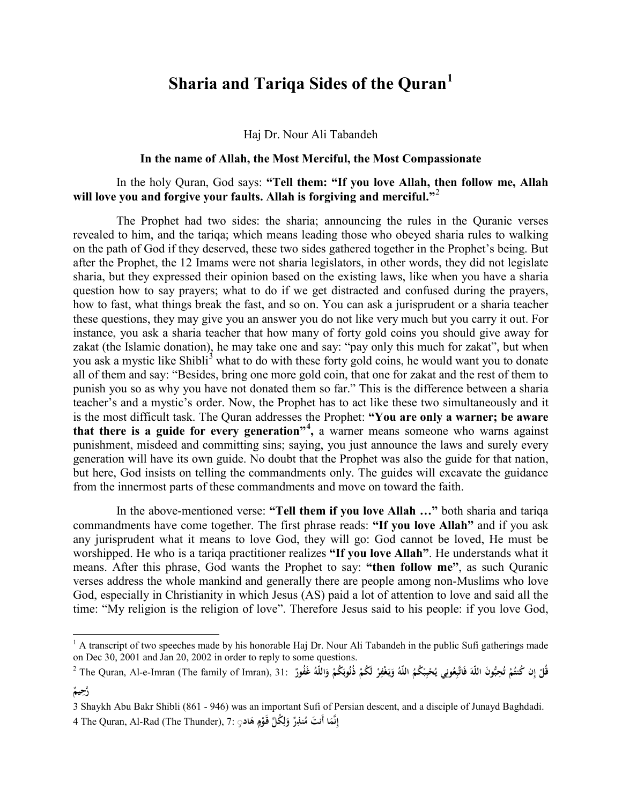## **Sharia and Tariqa Sides of the Quran[1](#page-0-0)**

Haj Dr. Nour Ali Tabandeh

## **In the name of Allah, the Most Merciful, the Most Compassionate**

## In the holy Quran, God says: **"Tell them: "If you love Allah, then follow me, Allah will love you and forgive your faults. Allah is forgiving and merciful."**[2](#page-0-1)

The Prophet had two sides: the sharia; announcing the rules in the Quranic verses revealed to him, and the tariqa; which means leading those who obeyed sharia rules to walking on the path of God if they deserved, these two sides gathered together in the Prophet's being. But after the Prophet, the 12 Imams were not sharia legislators, in other words, they did not legislate sharia, but they expressed their opinion based on the existing laws, like when you have a sharia question how to say prayers; what to do if we get distracted and confused during the prayers, how to fast, what things break the fast, and so on. You can ask a jurisprudent or a sharia teacher these questions, they may give you an answer you do not like very much but you carry it out. For instance, you ask a sharia teacher that how many of forty gold coins you should give away for zakat (the Islamic donation), he may take one and say: "pay only this much for zakat", but when you ask a mystic like Shibli<sup>[3](#page-0-2)</sup> what to do with these forty gold coins, he would want you to donate all of them and say: "Besides, bring one more gold coin, that one for zakat and the rest of them to punish you so as why you have not donated them so far." This is the difference between a sharia teacher's and a mystic's order. Now, the Prophet has to act like these two simultaneously and it is the most difficult task. The Quran addresses the Prophet: **"You are only a warner; be aware that there is a guide for every generation"[4](#page-0-3) ,** a warner means someone who warns against punishment, misdeed and committing sins; saying, you just announce the laws and surely every generation will have its own guide. No doubt that the Prophet was also the guide for that nation, but here, God insists on telling the commandments only. The guides will excavate the guidance from the innermost parts of these commandments and move on toward the faith.

In the above-mentioned verse: **"Tell them if you love Allah …"** both sharia and tariqa commandments have come together. The first phrase reads: **"If you love Allah"** and if you ask any jurisprudent what it means to love God, they will go: God cannot be loved, He must be worshipped. He who is a tariqa practitioner realizes **"If you love Allah"**. He understands what it means. After this phrase, God wants the Prophet to say: **"then follow me"**, as such Quranic verses address the whole mankind and generally there are people among non-Muslims who love God, especially in Christianity in which Jesus (AS) paid a lot of attention to love and said all the time: "My religion is the religion of love". Therefore Jesus said to his people: if you love God,

<span id="page-0-0"></span> $<sup>1</sup>$  A transcript of two speeches made by his honorable Haj Dr. Nour Ali Tabandeh in the public Sufi gatherings made</sup> on Dec 30, 2001 and Jan 20, 2002 in order to reply to some questions.

<span id="page-0-1"></span>قُلْ إِن كُنتُمْ تُحِبُّونَ اللّهَ فَاتَّبِعُونِي يُحْبِبُكُمُ اللّهُ وَيَغْفِرْ لَكُمْ ذُنُوبَكُمْ وَاللّهُ غَفُورٌ .21 [The Quran, Al-e-Imran (The family of Imran), 31 [ **ِِ َ ٌ ِ يم َّرح**

<span id="page-0-3"></span><span id="page-0-2"></span><sup>3</sup> Shaykh Abu Bakr Shibli (861 - 946) was an important Sufi of Persian descent, and a disciple of Junayd Baghdadi. 4 The Quran, Al-Rad (The Thunder), 7: **ا ِنَّم أَنت ٌ إ ِر َ ُنذ ُك ِّل م و َ َقـو اد ْم** ٍ◌ **ه َ ِل َ ٍ**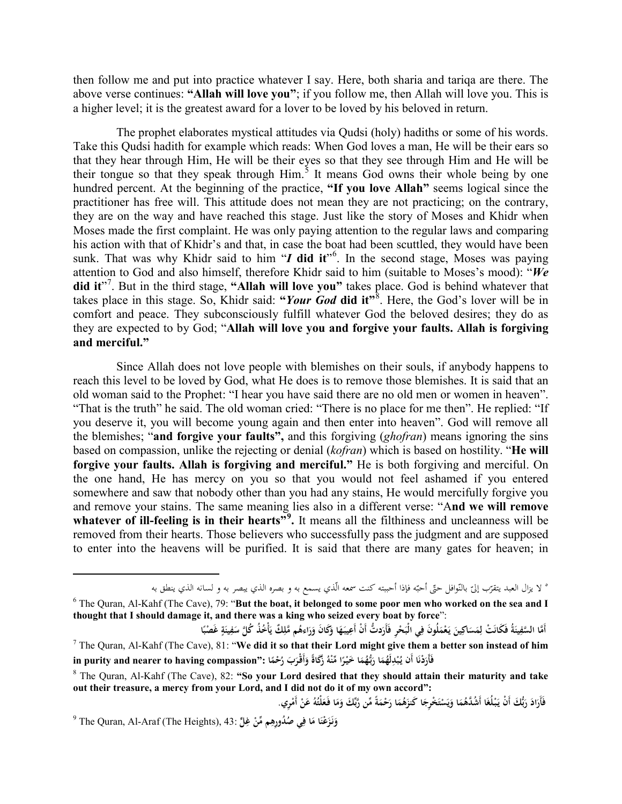then follow me and put into practice whatever I say. Here, both sharia and tariqa are there. The above verse continues: **"Allah will love you"**; if you follow me, then Allah will love you. This is a higher level; it is the greatest award for a lover to be loved by his beloved in return.

The prophet elaborates mystical attitudes via Qudsi (holy) hadiths or some of his words. Take this Qudsi hadith for example which reads: When God loves a man, He will be their ears so that they hear through Him, He will be their eyes so that they see through Him and He will be their tongue so that they speak through Him.<sup>[5](#page-1-0)</sup> It means God owns their whole being by one hundred percent. At the beginning of the practice, **"If you love Allah"** seems logical since the practitioner has free will. This attitude does not mean they are not practicing; on the contrary, they are on the way and have reached this stage. Just like the story of Moses and Khidr when Moses made the first complaint. He was only paying attention to the regular laws and comparing his action with that of Khidr's and that, in case the boat had been scuttled, they would have been sunk. That was why Khidr said to him "*I* did it"<sup>[6](#page-1-1)</sup>. In the second stage, Moses was paying attention to God and also himself, therefore Khidr said to him (suitable to Moses's mood): "*We* did it"<sup>[7](#page-1-2)</sup>. But in the third stage, "Allah will love you" takes place. God is behind whatever that takes place in this stage. So, Khidr said: **"***Your God* **did it"**[8](#page-1-3) . Here, the God's lover will be in comfort and peace. They subconsciously fulfill whatever God the beloved desires; they do as they are expected to by God; "**Allah will love you and forgive your faults. Allah is forgiving and merciful."**

Since Allah does not love people with blemishes on their souls, if anybody happens to reach this level to be loved by God, what He does is to remove those blemishes. It is said that an old woman said to the Prophet: "I hear you have said there are no old men or women in heaven". "That is the truth" he said. The old woman cried: "There is no place for me then". He replied: "If you deserve it, you will become young again and then enter into heaven". God will remove all the blemishes; "**and forgive your faults",** and this forgiving (*ghofran*) means ignoring the sins based on compassion, unlike the rejecting or denial (*kofran*) which is based on hostility. "**He will forgive your faults. Allah is forgiving and merciful."** He is both forgiving and merciful. On the one hand, He has mercy on you so that you would not feel ashamed if you entered somewhere and saw that nobody other than you had any stains, He would mercifully forgive you and remove your stains. The same meaning lies also in a different verse: "A**nd we will remove**  whatever of ill-feeling is in their hearts<sup>", [9](#page-1-4)</sup>. It means all the filthiness and uncleanness will be removed from their hearts. Those believers who successfully pass the judgment and are supposed to enter into the heavens will be purified. It is said that there are many gates for heaven; in

° لا يزال العبد يتقرّب إلىّ بالنّوافل<br>- - -

l

<span id="page-1-1"></span><span id="page-1-0"></span><sup>&</sup>lt;sup>6</sup> The Ouran, Al-Kahf (The Cave), 79: "**But the boat, it belonged to some poor men who worked on the sea and I thought that I should damage it, and there was a king who seized every boat by force**":

<span id="page-1-2"></span>أَمَّا السَّفِينَةُ فَكَانَتْ لِمَسَاكِينَ يَعْمَلُونَ فِي الْبَحْرِ فَأَرَدتُّ أَنْ أَعِيبَهَا وَكَانَ وَرَاءهُم مَّلِكٌ يَأْخُذُ كُلَّ سَفِينَةٍ غَصْبًا **َ َ ٍ**<sup>7</sup> The Quran, Al-Kahf (The Cave), 81: "**We did it so that their Lord might give them a better son instead of him**  in purity and nearer to having compassion": (حُمَّا :''a أَرَدْنَا أَنْ يُبْدِلَهُمَا رَبُّهُمَا خَيْرًا مِّنْهُ زَكَاةً وَأَقْرَبَ رُحْمًا<br>° .<br>. **ِ**

<span id="page-1-3"></span><sup>8</sup> The Quran, Al-Kahf (The Cave), 82: **"So your Lord desired that they should attain their maturity and take out their treasure, a mercy from your Lord, and I did not do it of my own accord":**

**<sup>َ</sup>** فَأَرَادَ رَبُّكَ أَنْ يَبْلَغَا أَشُلُّهُمَا وَيَسْتَخْرِجَا كَنزَهُمَا رَحْمَةً مِّن رَّبِّكَ وَمَا فَعَلْتُهُ عَنْ أَمْرِي. **َ ْ ي َ**

<span id="page-1-4"></span> $^9$  The Quran, Al-Araf (The Heights), 43: فَزَعْنَا مَا فِي صُدُورِهِم مِّنْ غِلٍّ **َ ِ**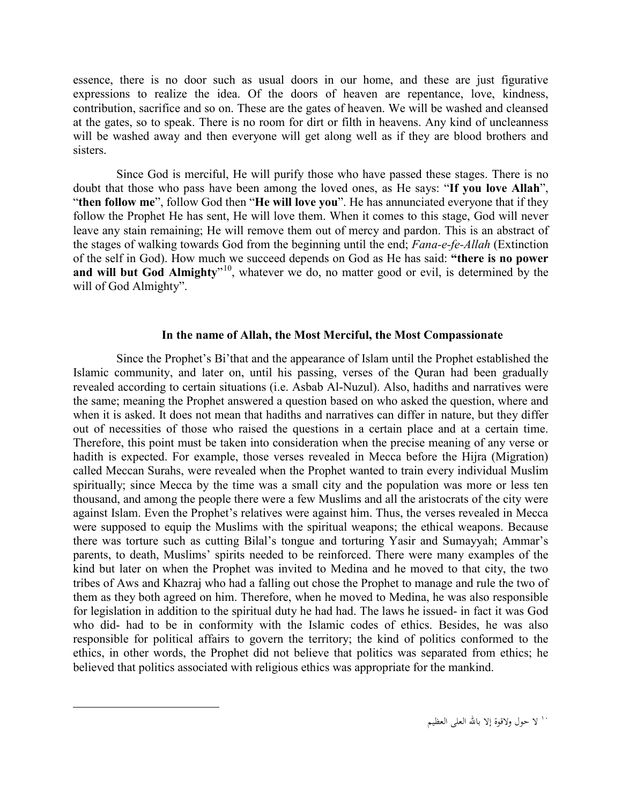essence, there is no door such as usual doors in our home, and these are just figurative expressions to realize the idea. Of the doors of heaven are repentance, love, kindness, contribution, sacrifice and so on. These are the gates of heaven. We will be washed and cleansed at the gates, so to speak. There is no room for dirt or filth in heavens. Any kind of uncleanness will be washed away and then everyone will get along well as if they are blood brothers and sisters.

Since God is merciful, He will purify those who have passed these stages. There is no doubt that those who pass have been among the loved ones, as He says: "**If you love Allah**", "**then follow me**", follow God then "**He will love you**". He has annunciated everyone that if they follow the Prophet He has sent, He will love them. When it comes to this stage, God will never leave any stain remaining; He will remove them out of mercy and pardon. This is an abstract of the stages of walking towards God from the beginning until the end; *Fana-e-fe-Allah* (Extinction of the self in God). How much we succeed depends on God as He has said: **"there is no power and will but God Almighty**<sup>"[10](#page-2-0)</sup>, whatever we do, no matter good or evil, is determined by the will of God Almighty".

## **In the name of Allah, the Most Merciful, the Most Compassionate**

Since the Prophet's Bi'that and the appearance of Islam until the Prophet established the Islamic community, and later on, until his passing, verses of the Quran had been gradually revealed according to certain situations (i.e. Asbab Al-Nuzul). Also, hadiths and narratives were the same; meaning the Prophet answered a question based on who asked the question, where and when it is asked. It does not mean that hadiths and narratives can differ in nature, but they differ out of necessities of those who raised the questions in a certain place and at a certain time. Therefore, this point must be taken into consideration when the precise meaning of any verse or hadith is expected. For example, those verses revealed in Mecca before the Hijra (Migration) called Meccan Surahs, were revealed when the Prophet wanted to train every individual Muslim spiritually; since Mecca by the time was a small city and the population was more or less ten thousand, and among the people there were a few Muslims and all the aristocrats of the city were against Islam. Even the Prophet's relatives were against him. Thus, the verses revealed in Mecca were supposed to equip the Muslims with the spiritual weapons; the ethical weapons. Because there was torture such as cutting Bilal's tongue and torturing Yasir and Sumayyah; Ammar's parents, to death, Muslims' spirits needed to be reinforced. There were many examples of the kind but later on when the Prophet was invited to Medina and he moved to that city, the two tribes of Aws and Khazraj who had a falling out chose the Prophet to manage and rule the two of them as they both agreed on him. Therefore, when he moved to Medina, he was also responsible for legislation in addition to the spiritual duty he had had. The laws he issued- in fact it was God who did- had to be in conformity with the Islamic codes of ethics. Besides, he was also responsible for political affairs to govern the territory; the kind of politics conformed to the ethics, in other words, the Prophet did not believe that politics was separated from ethics; he believed that politics associated with religious ethics was appropriate for the mankind.

<span id="page-2-0"></span>l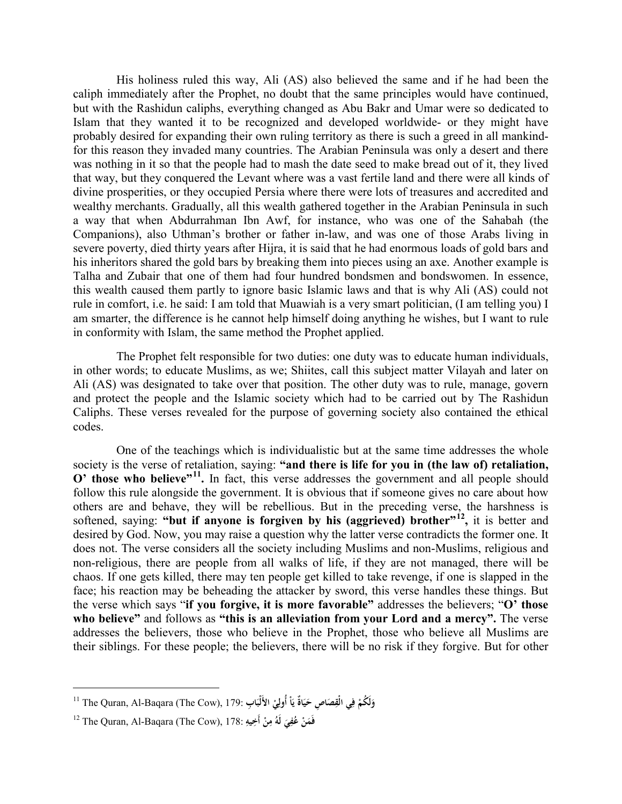His holiness ruled this way, Ali (AS) also believed the same and if he had been the caliph immediately after the Prophet, no doubt that the same principles would have continued, but with the Rashidun caliphs, everything changed as Abu Bakr and Umar were so dedicated to Islam that they wanted it to be recognized and developed worldwide- or they might have probably desired for expanding their own ruling territory as there is such a greed in all mankindfor this reason they invaded many countries. The Arabian Peninsula was only a desert and there was nothing in it so that the people had to mash the date seed to make bread out of it, they lived that way, but they conquered the Levant where was a vast fertile land and there were all kinds of divine prosperities, or they occupied Persia where there were lots of treasures and accredited and wealthy merchants. Gradually, all this wealth gathered together in the Arabian Peninsula in such a way that when Abdurrahman Ibn Awf, for instance, who was one of the Sahabah (the Companions), also Uthman's brother or father in-law, and was one of those Arabs living in severe poverty, died thirty years after Hijra, it is said that he had enormous loads of gold bars and his inheritors shared the gold bars by breaking them into pieces using an axe. Another example is Talha and Zubair that one of them had four hundred bondsmen and bondswomen. In essence, this wealth caused them partly to ignore basic Islamic laws and that is why Ali (AS) could not rule in comfort, i.e. he said: I am told that Muawiah is a very smart politician, (I am telling you) I am smarter, the difference is he cannot help himself doing anything he wishes, but I want to rule in conformity with Islam, the same method the Prophet applied.

The Prophet felt responsible for two duties: one duty was to educate human individuals, in other words; to educate Muslims, as we; Shiites, call this subject matter Vilayah and later on Ali (AS) was designated to take over that position. The other duty was to rule, manage, govern and protect the people and the Islamic society which had to be carried out by The Rashidun Caliphs. These verses revealed for the purpose of governing society also contained the ethical codes.

One of the teachings which is individualistic but at the same time addresses the whole society is the verse of retaliation, saying: **"and there is life for you in (the law of) retaliation, O' those who believe"<sup>[11](#page-3-0)</sup>**. In fact, this verse addresses the government and all people should follow this rule alongside the government. It is obvious that if someone gives no care about how others are and behave, they will be rebellious. But in the preceding verse, the harshness is softened, saying: **"but if anyone is forgiven by his (aggrieved) brother"[12,](#page-3-1)** it is better and desired by God. Now, you may raise a question why the latter verse contradicts the former one. It does not. The verse considers all the society including Muslims and non-Muslims, religious and non-religious, there are people from all walks of life, if they are not managed, there will be chaos. If one gets killed, there may ten people get killed to take revenge, if one is slapped in the face; his reaction may be beheading the attacker by sword, this verse handles these things. But the verse which says "**if you forgive, it is more favorable"** addresses the believers; "**O' those who believe"** and follows as **"this is an alleviation from your Lord and a mercy".** The verse addresses the believers, those who believe in the Prophet, those who believe all Muslims are their siblings. For these people; the believers, there will be no risk if they forgive. But for other

<span id="page-3-0"></span>وَلَكُمْ فِي الْقِصَاصِ حَيَاةٌ يَاْ أُولِيْ الأَلْبَابِ :The Quran, Al-Baqara (The Cow), 179 ا

<span id="page-3-1"></span><sup>12</sup> The Quran, Al-Baqara (The Cow), 178: **ْ َن َم َ <sup>ف</sup> ِي ُف ُ ع ْ لَه ِن ِ م ِ يه أَخ**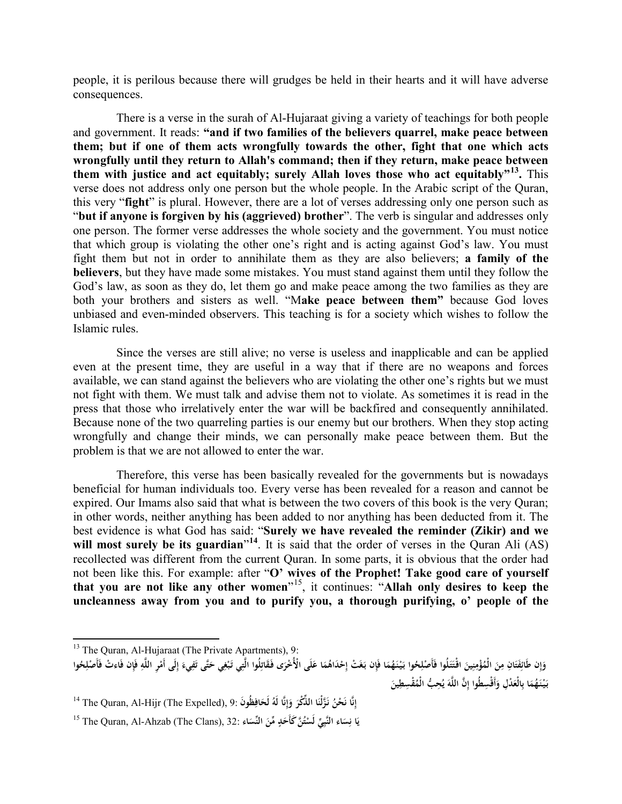people, it is perilous because there will grudges be held in their hearts and it will have adverse consequences.

There is a verse in the surah of Al-Hujaraat giving a variety of teachings for both people and government. It reads: **"and if two families of the believers quarrel, make peace between them; but if one of them acts wrongfully towards the other, fight that one which acts wrongfully until they return to Allah's command; then if they return, make peace between them with justice and act equitably; surely Allah loves those who act equitably"[13.](#page-4-0)** This verse does not address only one person but the whole people. In the Arabic script of the Quran, this very "**fight**" is plural. However, there are a lot of verses addressing only one person such as "**but if anyone is forgiven by his (aggrieved) brother**". The verb is singular and addresses only one person. The former verse addresses the whole society and the government. You must notice that which group is violating the other one's right and is acting against God's law. You must fight them but not in order to annihilate them as they are also believers; **a family of the believers**, but they have made some mistakes. You must stand against them until they follow the God's law, as soon as they do, let them go and make peace among the two families as they are both your brothers and sisters as well. "M**ake peace between them"** because God loves unbiased and even-minded observers. This teaching is for a society which wishes to follow the Islamic rules.

Since the verses are still alive; no verse is useless and inapplicable and can be applied even at the present time, they are useful in a way that if there are no weapons and forces available, we can stand against the believers who are violating the other one's rights but we must not fight with them. We must talk and advise them not to violate. As sometimes it is read in the press that those who irrelatively enter the war will be backfired and consequently annihilated. Because none of the two quarreling parties is our enemy but our brothers. When they stop acting wrongfully and change their minds, we can personally make peace between them. But the problem is that we are not allowed to enter the war.

Therefore, this verse has been basically revealed for the governments but is nowadays beneficial for human individuals too. Every verse has been revealed for a reason and cannot be expired. Our Imams also said that what is between the two covers of this book is the very Quran; in other words, neither anything has been added to nor anything has been deducted from it. The best evidence is what God has said: "**Surely we have revealed the reminder (Zikir) and we**  will most surely be its guardian<sup>"[14](#page-4-1)</sup>. It is said that the order of verses in the Quran Ali (AS) recollected was different from the current Quran. In some parts, it is obvious that the order had not been like this. For example: after "**O' wives of the Prophet! Take good care of yourself that you are not like any other women**"[15,](#page-4-2) it continues: "**Allah only desires to keep the uncleanness away from you and to purify you, a thorough purifying, o' people of the** 

<span id="page-4-0"></span> $13$  The Quran, Al-Hujaraat (The Private Apartments), 9:

وَإِن طَائِفَتَانِ مِنَ الْمُؤْمِنِينَ اقْتَتَلُوا فَأَصْلِحُوا بَيْنَهُمَا فَإِن بَغَتْ إِحْدَاهُمَا عَلَى الْأُخْرَى فَقَاتِلُوا الَّتِي تَبْغِي حَتَّى تَفِيءَ إِلَى أَمْرِ اللَّهِ فَإِن فَاءتْ فَأَصْلِحُوا **إ َ ِ ِ** بَيْنَهُمَا بِالْعَدْلِ وَأَقْسِطُوا إِنَّ اللَّهَ يُحِبُّ الْمُقْسِطِينَ **َ َ ِ**

<span id="page-4-1"></span>إِنَّا نَحْنُ نَزَّلْنَا الذِّكْرَ وَإِنَّا لَهُ لَحَافِظُونَ :9 ,The Quran, Al-Hijr (The Expelled) ا **ِ ِ إ َ**

<span id="page-4-2"></span><sup>15</sup> The Quran, Al-Ahzab (The Clans), 32: **اءَ َ النِّس ِّ من َد ُ َّن َ كأَح ت ِّي لَس َاء النَّب ِس َا ن ٍْ ِ ي**